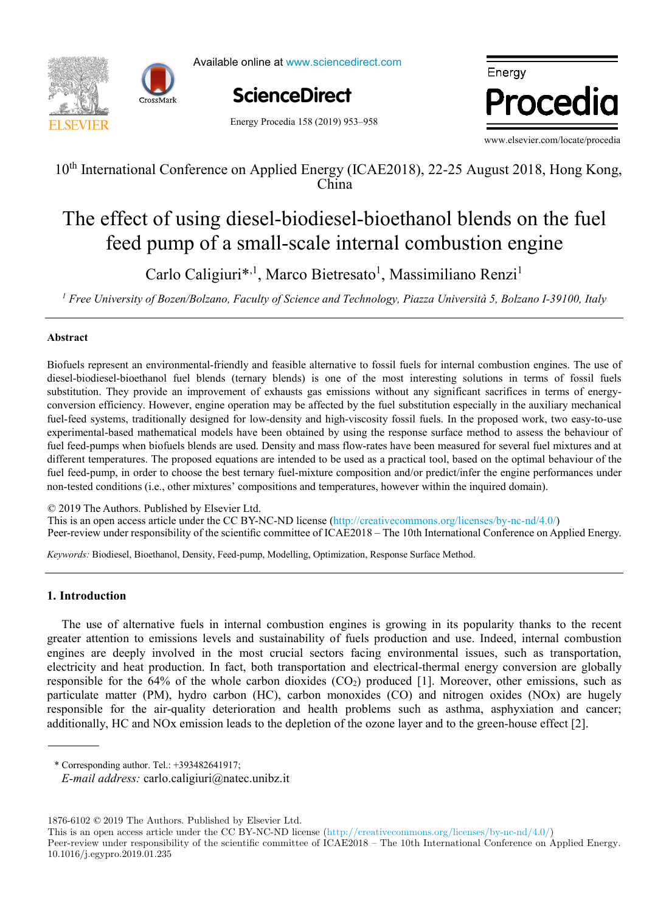



Available online at www.sciencedirect.com



, P. Ferrãoa (h. 1876).<br>Notas

Carlo Caligiuri\*,1, Marco Bietresato1

Energy Procedia 158 (2019) 953-958



www.elsevier.com/locate/procedia

, O. Le Correc

# 10<sup>th</sup> International Conference on Applied Energy (ICAE2018), 22-25 August 2018, Hong Kong, China

### t of using diesel-biodiesel-bioethanol blends on  $\frac{1}{2}$ The effect of using diesel biodiesel bioethenal blands on the fuel The effect of using diesel-biodiesel-bioethanol blends on the fuel feed pump of a small-scale internal combustion engine

Carlo Caligiuri<sup>to, e</sup>, marco Bietresato<sup>-</sup>, massimiliano Kenzi- $\Gamma$  is effect of using diesel-biographic diesel-biographic on the fuel-Carlo Caligiuri<sup>\*,1</sup>, Marco Bietresato<sup>1</sup>, Massimiliano Renzi<sup>1</sup>

*<sup>1</sup> Free University of Bozen/Bolzano, Faculty of Science and Technology, Piazza Università 5, Bolzano I-39100, Italy*

, J. Fournier by J. Fournier by J. Fournier by J. Fournier by J. Fournier by J. Fournier by J. Fournier by J.

., B. Lacarrière comme de la carrière de la carrière de la carrière de la carrière de la carrière de la carrièr<br>1990 : la carrière de la carrière de la carrière de la carrière de la carrière de la carrière de la carrière d

, Massimiliano Renzi

#### *a* **Abstract** *IN+ Center for Innovation, Technology and Policy Research - Instituto Superior Técnico, Av. Rovisco Pais 1, 1049-001 Lisbon, Portugal <sup>1</sup> Free University of Bozen/Bolzano, Faculty of Science and Technology, Piazza Università 5, Bolzano I-39100, Italy*

I. Andrić

 $\overline{\phantom{a}}$ 

Biofuels represent an environmental-friendly and feasible alternative to fossil fuels for internal combustion engines. The use of fuel-feed systems, traditionally designed for low-density and high-viscosity fossil fuels. In the proposed work, two easy-to-use fuel feed-pumps when biofuels blends are used. Density and mass flow-rates have been measured for several fuel mixtures and at different temperatures. The proposed equations are intended to be used as a practical tool, based on the optimal behaviour of the fuel feed-pump, in order to choose the best ternary fuel-mixture composition and/or predict/infer the engine performances under non-tested conditions (i.e., other mixtures' compositions and temperatures, however within the inquired domain). diesel-biodiesel-bioethanol fuel blends (ternary blends) is one of the most interesting solutions in terms of fossil fuels conversion efficiency. However, engine operation may be affected by the fuel substitution especially in the auxiliary mechanical experimental-based mathematical models have been obtained by using the response surface method to assess the behaviour of substitution. They provide an improvement of exhausts gas emissions without any significant sacrifices in terms of energyconversion efficiency. However, engine operation may be affected by the fuel substitution especially in the auxiliary mechanical<br>fuel-feed systems, traditionally designed for low-density and high-viscosity fossil fuels. In different temperatures. The proposed equations are intended to be used as a practical tool, based on the optimal behaviour of the fuel feed-pump, in order to choose the best ternary fuel-mixture composition and/or predict/

© 2019 The Authors. Published by Elsevier Ltd.  $\degree$  2019 The Authors. Fubrished by Eisevier Ltd.<br>This is an open access article under the CC BY-NC-ND license (http://creativecommons.org/licenses/by-nc-nd/4.0/)  $\sum_{n=1}^{\infty}$  in both access attive under the construction period and the scenarios (low,  $\sum_{n=1}^{\infty}$  and the scenarios (low,  $\sum_{n=1}^{\infty}$  and  $\sum_{n=1}^{\infty}$  and  $\sum_{n=1}^{\infty}$  and  $\sum_{n=1}^{\infty}$  and  $\sum_{n=1}^{\infty}$  Peer-review under responsibility of the scientific committee of ICAE2018 – The 10th International Conference on Applied Energy.

The results showed that when only weather change is considered, the margin of error could be acceptable for some applications of error could be acceptable for some applications of error could be applications of extensions

Keywords: Biodiesel, Bioethanol, Density, Feed-pump, Modelling, Optimization, Response Surface Method.

#### scenarios, the error value increased up to 59.5% (depending on the weather and renovation scenarios combination considered). **1. Introduction** 1. Introduction to emissions levels and sustainability of fuels production and use. In the use of fuels production and use. In the use of fuels production and use. In the use of fuels and use. In the use of fuels and use.

The use of alternative fuels in internal combustion engines is growing in its popularity thanks to the recent greater attention to emissions levels and sustainability of fuels production and use. Indeed, internal combustion engines are deeply involved in the most crucial sectors facing environmental issues, such as transportation, electricity and heat production. In fact, both transportation and electrical-thermal energy conversion are globally particulate matter (PM), hydro carbon (HC), carbon monoxides (CO) and nitrogen oxides (NOx) are hugely particulate matter (PM), hydro carbon (HC), carbon monoxides (CO) and nitrogen oxides (NOx) are hugely responsible for the air-quality deterioration and health problems such as asthma, asphyxiation and cancer; responsible for the an-quality deterioration and heathr problems such as assuma, asphybitation and with additionally, HC and NOx emission leads to the depletion of the ozone layer and to the green-house effect [2]. responsible for the 64% of the whole carbon dioxides  $(CO<sub>2</sub>)$  produced [1]. Moreover, other emissions, such as

\* Corresponding author. Tel.: +393482641917;

*Keywords:* Heat demand; Forecast; Climate change

 $1876\text{-}6102$   $\odot$   $2019$  The Authors. Published by Elsevier Ltd.

*E-mail address:* carlo.caligiuri@natec.unibz.it  $E$  man and ess. Carlo. Cargian ignation. Almoz.  $\alpha$ 

To  $100-0102 \approx 2019$  The Authors. Fubished by Elsevier Etd.<br>This is an open access article under the CC BY-NC-ND license (http://creativecommons.org/licenses/by-nc-nd/4.0/)

Peer-review under responsibility of the scientific committee of ICAE2018 – The 10th International Conference on Applied Energy. 10.1016/j.egypro.2019.01.235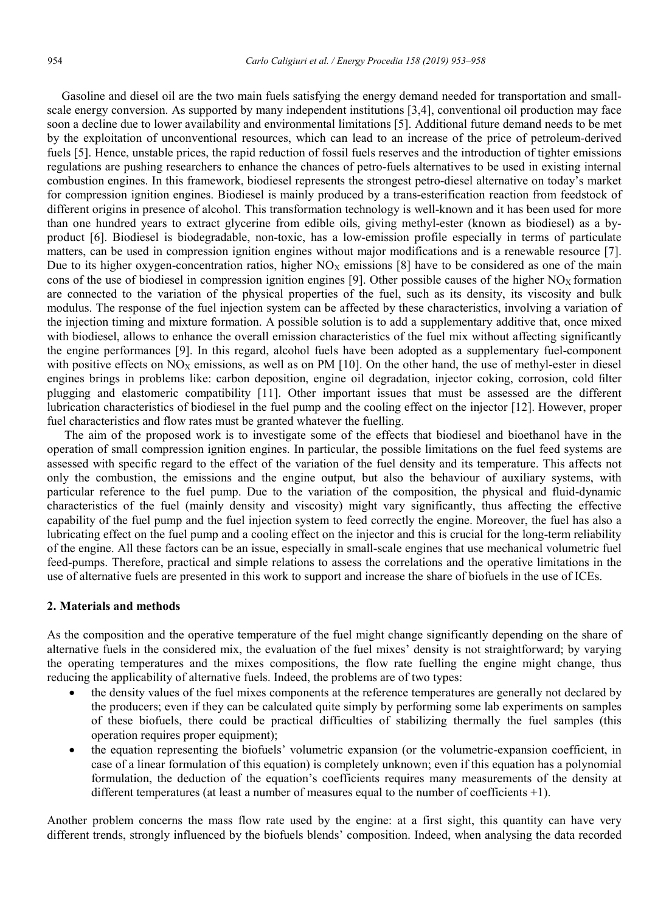Gasoline and diesel oil are the two main fuels satisfying the energy demand needed for transportation and smallscale energy conversion. As supported by many independent institutions [3,4], conventional oil production may face soon a decline due to lower availability and environmental limitations [5]. Additional future demand needs to be met by the exploitation of unconventional resources, which can lead to an increase of the price of petroleum-derived fuels [5]. Hence, unstable prices, the rapid reduction of fossil fuels reserves and the introduction of tighter emissions regulations are pushing researchers to enhance the chances of petro-fuels alternatives to be used in existing internal combustion engines. In this framework, biodiesel represents the strongest petro-diesel alternative on today's market for compression ignition engines. Biodiesel is mainly produced by a trans-esterification reaction from feedstock of different origins in presence of alcohol. This transformation technology is well-known and it has been used for more than one hundred years to extract glycerine from edible oils, giving methyl-ester (known as biodiesel) as a byproduct [6]. Biodiesel is biodegradable, non-toxic, has a low-emission profile especially in terms of particulate matters, can be used in compression ignition engines without major modifications and is a renewable resource [7]. Due to its higher oxygen-concentration ratios, higher  $NO<sub>X</sub>$  emissions [8] have to be considered as one of the main cons of the use of biodiesel in compression ignition engines [9]. Other possible causes of the higher  $NO<sub>X</sub>$  formation are connected to the variation of the physical properties of the fuel, such as its density, its viscosity and bulk modulus. The response of the fuel injection system can be affected by these characteristics, involving a variation of the injection timing and mixture formation. A possible solution is to add a supplementary additive that, once mixed with biodiesel, allows to enhance the overall emission characteristics of the fuel mix without affecting significantly the engine performances [9]. In this regard, alcohol fuels have been adopted as a supplementary fuel-component with positive effects on  $\overline{NOx}$  emissions, as well as on PM [10]. On the other hand, the use of methyl-ester in diesel engines brings in problems like: carbon deposition, engine oil degradation, injector coking, corrosion, cold filter plugging and elastomeric compatibility [11]. Other important issues that must be assessed are the different lubrication characteristics of biodiesel in the fuel pump and the cooling effect on the injector [12]. However, proper fuel characteristics and flow rates must be granted whatever the fuelling.

The aim of the proposed work is to investigate some of the effects that biodiesel and bioethanol have in the operation of small compression ignition engines. In particular, the possible limitations on the fuel feed systems are assessed with specific regard to the effect of the variation of the fuel density and its temperature. This affects not only the combustion, the emissions and the engine output, but also the behaviour of auxiliary systems, with particular reference to the fuel pump. Due to the variation of the composition, the physical and fluid-dynamic characteristics of the fuel (mainly density and viscosity) might vary significantly, thus affecting the effective capability of the fuel pump and the fuel injection system to feed correctly the engine. Moreover, the fuel has also a lubricating effect on the fuel pump and a cooling effect on the injector and this is crucial for the long-term reliability of the engine. All these factors can be an issue, especially in small-scale engines that use mechanical volumetric fuel feed-pumps. Therefore, practical and simple relations to assess the correlations and the operative limitations in the use of alternative fuels are presented in this work to support and increase the share of biofuels in the use of ICEs.

#### **2. Materials and methods**

As the composition and the operative temperature of the fuel might change significantly depending on the share of alternative fuels in the considered mix, the evaluation of the fuel mixes' density is not straightforward; by varying the operating temperatures and the mixes compositions, the flow rate fuelling the engine might change, thus reducing the applicability of alternative fuels. Indeed, the problems are of two types:

- the density values of the fuel mixes components at the reference temperatures are generally not declared by the producers; even if they can be calculated quite simply by performing some lab experiments on samples of these biofuels, there could be practical difficulties of stabilizing thermally the fuel samples (this operation requires proper equipment);
- the equation representing the biofuels' volumetric expansion (or the volumetric-expansion coefficient, in case of a linear formulation of this equation) is completely unknown; even if this equation has a polynomial formulation, the deduction of the equation's coefficients requires many measurements of the density at different temperatures (at least a number of measures equal to the number of coefficients +1).

Another problem concerns the mass flow rate used by the engine: at a first sight, this quantity can have very different trends, strongly influenced by the biofuels blends' composition. Indeed, when analysing the data recorded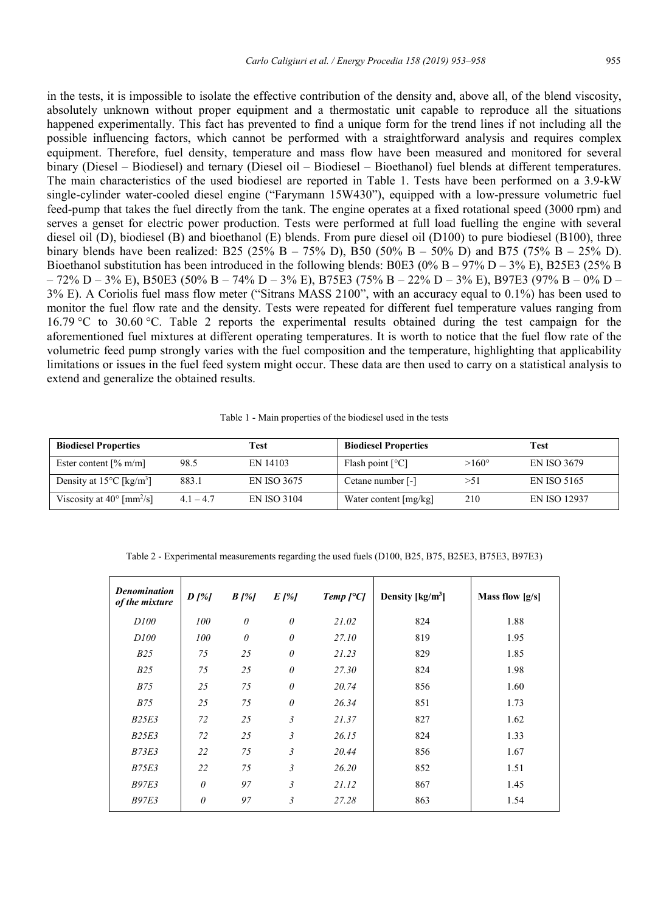in the tests, it is impossible to isolate the effective contribution of the density and, above all, of the blend viscosity, absolutely unknown without proper equipment and a thermostatic unit capable to reproduce all the situations happened experimentally. This fact has prevented to find a unique form for the trend lines if not including all the possible influencing factors, which cannot be performed with a straightforward analysis and requires complex equipment. Therefore, fuel density, temperature and mass flow have been measured and monitored for several binary (Diesel – Biodiesel) and ternary (Diesel oil – Biodiesel – Bioethanol) fuel blends at different temperatures. The main characteristics of the used biodiesel are reported in Table 1. Tests have been performed on a 3.9-kW single-cylinder water-cooled diesel engine ("Farymann 15W430"), equipped with a low-pressure volumetric fuel feed-pump that takes the fuel directly from the tank. The engine operates at a fixed rotational speed (3000 rpm) and serves a genset for electric power production. Tests were performed at full load fuelling the engine with several diesel oil (D), biodiesel (B) and bioethanol (E) blends. From pure diesel oil (D100) to pure biodiesel (B100), three binary blends have been realized: B25 (25% B – 75% D), B50 (50% B – 50% D) and B75 (75% B – 25% D). Bioethanol substitution has been introduced in the following blends: B0E3 (0% B – 97% D – 3% E), B25E3 (25% B) – 72% D – 3% E), B50E3 (50% B – 74% D – 3% E), B75E3 (75% B – 22% D – 3% E), B97E3 (97% B – 0% D – 3% E). A Coriolis fuel mass flow meter ("Sitrans MASS 2100", with an accuracy equal to 0.1%) has been used to monitor the fuel flow rate and the density. Tests were repeated for different fuel temperature values ranging from 16.79 °C to 30.60 °C. Table 2 reports the experimental results obtained during the test campaign for the aforementioned fuel mixtures at different operating temperatures. It is worth to notice that the fuel flow rate of the volumetric feed pump strongly varies with the fuel composition and the temperature, highlighting that applicability limitations or issues in the fuel feed system might occur. These data are then used to carry on a statistical analysis to extend and generalize the obtained results.

Table 1 - Main properties of the biodiesel used in the tests

| <b>Biodiesel Properties</b>                    |           | Test               | <b>Biodiesel Properties</b> |              | <b>Test</b>         |
|------------------------------------------------|-----------|--------------------|-----------------------------|--------------|---------------------|
| Ester content $[% \text{ m/m}]$                | 98.5      | EN 14103           | Flash point $[°C]$          | $>160^\circ$ | <b>EN ISO 3679</b>  |
| Density at $15^{\circ}$ C [kg/m <sup>3</sup> ] | 883.1     | EN ISO 3675        | Cetane number [-]           | >51          | <b>EN ISO 5165</b>  |
| Viscosity at $40^{\circ}$ [mm <sup>2</sup> /s] | $41 - 47$ | <b>EN ISO 3104</b> | Water content [mg/kg]       | 210          | <b>EN ISO 12937</b> |

Table 2 - Experimental measurements regarding the used fuels (D100, B25, B75, B25E3, B75E3, B97E3)

| <b>Denomination</b><br>of the mixture | $D / \mathcal{U}$ | $B / \mathcal{C}$ | $E[\%]$  | Temp $\int C$ ] | Density $\lceil \text{kg/m}^3 \rceil$ | Mass flow $[g/s]$ |
|---------------------------------------|-------------------|-------------------|----------|-----------------|---------------------------------------|-------------------|
| D100                                  | 100               | $\theta$          | $\theta$ | 21.02           | 824                                   | 1.88              |
| D100                                  | 100               | $\theta$          | $\theta$ | 27.10           | 819                                   | 1.95              |
| B25                                   | 75                | 25                | $\theta$ | 21.23           | 829                                   | 1.85              |
| B25                                   | 75                | 25                | $\theta$ | 27.30           | 824                                   | 1.98              |
| <i>B</i> 75                           | 25                | 75                | $\theta$ | 20.74           | 856                                   | 1.60              |
| <b>B75</b>                            | 25                | 75                | $\theta$ | 26.34           | 851                                   | 1.73              |
| B25E3                                 | 72                | 25                | 3        | 21.37           | 827                                   | 1.62              |
| B25E3                                 | 72                | 25                | 3        | 26.15           | 824                                   | 1.33              |
| B73E3                                 | 22                | 75                | 3        | 20.44           | 856                                   | 1.67              |
| <b>B75E3</b>                          | 22                | 75                | 3        | 26.20           | 852                                   | 1.51              |
| <b>B97E3</b>                          | $\theta$          | 97                | 3        | 21.12           | 867                                   | 1.45              |
| <b>B97E3</b>                          | $\theta$          | 97                | 3        | 27.28           | 863                                   | 1.54              |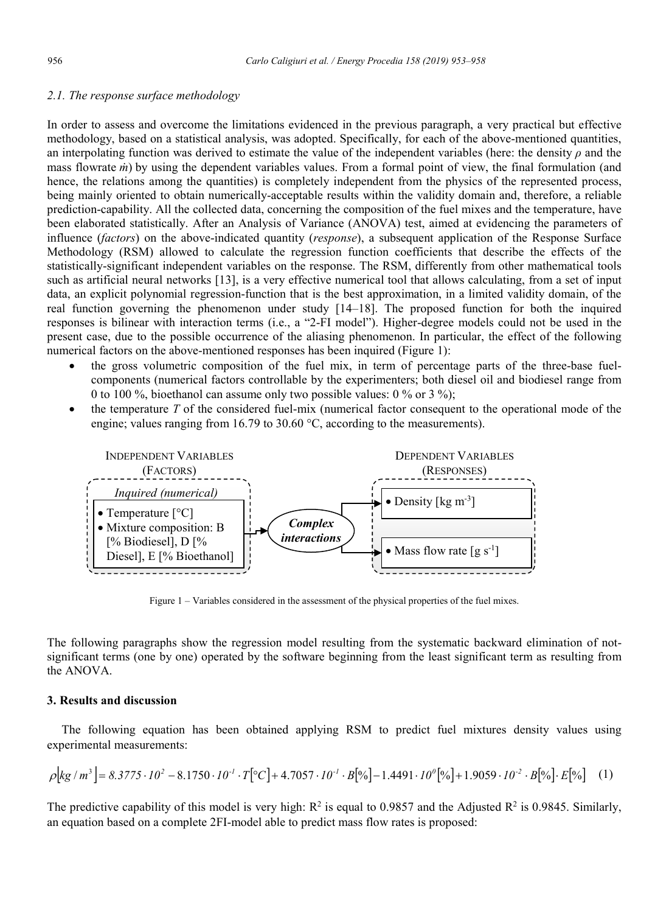### *2.1. The response surface methodology*

In order to assess and overcome the limitations evidenced in the previous paragraph, a very practical but effective methodology, based on a statistical analysis, was adopted. Specifically, for each of the above-mentioned quantities, an interpolating function was derived to estimate the value of the independent variables (here: the density  $\rho$  and the mass flowrate *m*) by using the dependent variables values. From a formal point of view, the final formulation (and hence, the relations among the quantities) is completely independent from the physics of the represented process, being mainly oriented to obtain numerically-acceptable results within the validity domain and, therefore, a reliable prediction-capability. All the collected data, concerning the composition of the fuel mixes and the temperature, have been elaborated statistically. After an Analysis of Variance (ANOVA) test, aimed at evidencing the parameters of influence (*factors*) on the above-indicated quantity (*response*), a subsequent application of the Response Surface Methodology (RSM) allowed to calculate the regression function coefficients that describe the effects of the statistically-significant independent variables on the response. The RSM, differently from other mathematical tools such as artificial neural networks [13], is a very effective numerical tool that allows calculating, from a set of input data, an explicit polynomial regression-function that is the best approximation, in a limited validity domain, of the real function governing the phenomenon under study [14–18]. The proposed function for both the inquired responses is bilinear with interaction terms (i.e., a "2-FI model"). Higher-degree models could not be used in the present case, due to the possible occurrence of the aliasing phenomenon. In particular, the effect of the following numerical factors on the above-mentioned responses has been inquired (Figure 1):

- the gross volumetric composition of the fuel mix, in term of percentage parts of the three-base fuelcomponents (numerical factors controllable by the experimenters; both diesel oil and biodiesel range from 0 to 100 %, bioethanol can assume only two possible values: 0 % or 3 %);
- the temperature *T* of the considered fuel-mix (numerical factor consequent to the operational mode of the engine; values ranging from 16.79 to 30.60 °C, according to the measurements).



Figure 1 – Variables considered in the assessment of the physical properties of the fuel mixes.

The following paragraphs show the regression model resulting from the systematic backward elimination of notsignificant terms (one by one) operated by the software beginning from the least significant term as resulting from the ANOVA.

## **3. Results and discussion**

The following equation has been obtained applying RSM to predict fuel mixtures density values using experimental measurements:

$$
\rho \left[ kg / m^3 \right] = 8.3775 \cdot 10^2 - 8.1750 \cdot 10^{1} \cdot T \left[ {}^{\circ}C \right] + 4.7057 \cdot 10^{1} \cdot B \left[ {}^{\circ} \right] - 1.4491 \cdot 10^{0} \left[ {}^{\circ} \right] + 1.9059 \cdot 10^{2} \cdot B \left[ {}^{\circ} \right] \cdot E \left[ {}^{\circ} \right] \tag{1}
$$

The predictive capability of this model is very high:  $R^2$  is equal to 0.9857 and the Adjusted  $R^2$  is 0.9845. Similarly, an equation based on a complete 2FI-model able to predict mass flow rates is proposed: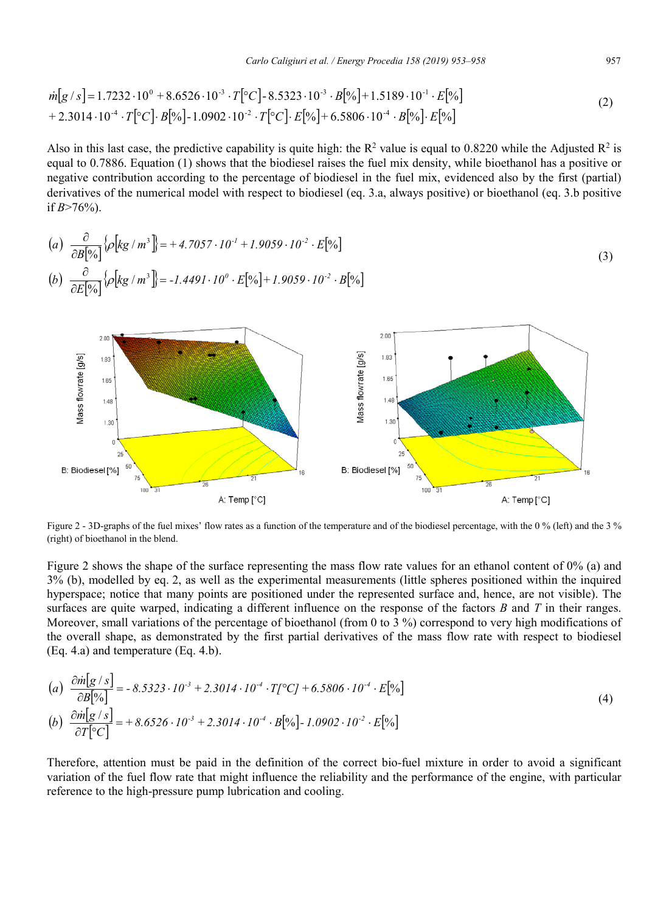$$
\dot{m}[g/s] = 1.7232 \cdot 10^{0} + 8.6526 \cdot 10^{-3} \cdot T[\text{°}C] - 8.5323 \cdot 10^{-3} \cdot B[\text{°}6] + 1.5189 \cdot 10^{-1} \cdot E[\text{°}6] + 2.3014 \cdot 10^{-4} \cdot T[\text{°}C] \cdot B[\text{°}6] - 1.0902 \cdot 10^{-2} \cdot T[\text{°}C] \cdot E[\text{°}6] + 6.5806 \cdot 10^{-4} \cdot B[\text{°}6] \cdot E[\text{°}6]
$$
\n(2)

Also in this last case, the predictive capability is quite high: the  $R^2$  value is equal to 0.8220 while the Adjusted  $R^2$  is equal to 0.7886. Equation (1) shows that the biodiesel raises the fuel mix density, while bioethanol has a positive or negative contribution according to the percentage of biodiesel in the fuel mix, evidenced also by the first (partial) derivatives of the numerical model with respect to biodiesel (eq. 3.a, always positive) or bioethanol (eq. 3.b positive if *B*>76%).

(a) 
$$
\frac{\partial}{\partial B[\%]} \{\rho [kg/m^3] \} = +4.7057 \cdot 10^{-1} + 1.9059 \cdot 10^{-2} \cdot E[\%]
$$
  
\n(b) 
$$
\frac{\partial}{\partial E[\%]} \{\rho [kg/m^3] \} = -1.4491 \cdot 10^0 \cdot E[\%] + 1.9059 \cdot 10^{-2} \cdot B[\%]
$$
\n(3)



Figure 2 - 3D-graphs of the fuel mixes' flow rates as a function of the temperature and of the biodiesel percentage, with the 0 % (left) and the 3 % (right) of bioethanol in the blend.

Figure 2 shows the shape of the surface representing the mass flow rate values for an ethanol content of 0% (a) and 3% (b), modelled by eq. 2, as well as the experimental measurements (little spheres positioned within the inquired hyperspace; notice that many points are positioned under the represented surface and, hence, are not visible). The surfaces are quite warped, indicating a different influence on the response of the factors *B* and *T* in their ranges. Moreover, small variations of the percentage of bioethanol (from 0 to  $3\%$ ) correspond to very high modifications of the overall shape, as demonstrated by the first partial derivatives of the mass flow rate with respect to biodiesel (Eq. 4.a) and temperature (Eq. 4.b).

$$
(a) \frac{\partial \dot{m} [g / s]}{\partial B[\%]} = -8.5323 \cdot 10^{-3} + 2.3014 \cdot 10^{-4} \cdot T[{}^{\circ}C] + 6.5806 \cdot 10^{-4} \cdot E[{}^{\circ} \text{O}]
$$
  
\n
$$
(b) \frac{\partial \dot{m} [g / s]}{\partial T[{}^{\circ}C]} = +8.6526 \cdot 10^{-3} + 2.3014 \cdot 10^{-4} \cdot B[{}^{\circ} \text{O}] - 1.0902 \cdot 10^{-2} \cdot E[{}^{\circ} \text{O}]
$$
  
\n(4)

Therefore, attention must be paid in the definition of the correct bio-fuel mixture in order to avoid a significant variation of the fuel flow rate that might influence the reliability and the performance of the engine, with particular reference to the high-pressure pump lubrication and cooling.